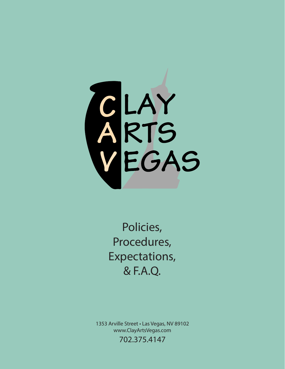

Policies, Procedures, Expectations, & F.A.Q.

1353 Arville Street • Las Vegas, NV 89102 www.ClayArtsVegas.com 702.375.4147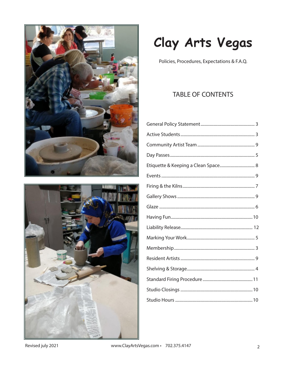



## Clay Arts Vegas

Policies, Procedures, Expectations & F.A.Q.

## **TABLE OF CONTENTS**

Revised july 2021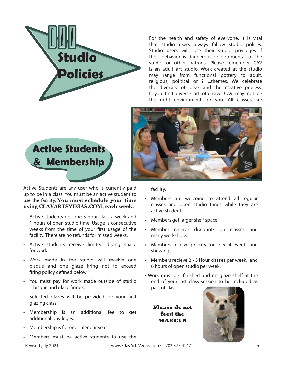

For the health and safety of everyone, it is vital that studio users always follow studio polices. Studio users will lose their studio privileges if their behavior is dangerous or detrimental to the studio or other patrons. Please remember CAV is an adult art studio. Work created at the studio may range from functional pottery to adult, religious, political or ? ...themes. We celebrate the diversity of ideas and the creative process. If you find diverse art offensive CAV may not be the right environment for you. All classes are



Active Students are any user who is currently paid up to be in a class. You must be an active student to use the facility. **You must schedule your time using CLAYARTSVEGAS.COM, each week.**

- Active students get one 3-hour class a week and 1 hours of open studio time. Usage is consecutive weeks from the time of your first usage of the facility. There are no refunds for missed weeks.
- Active students receive limited drying space for work.
- Work made in the studio will receive one bisque and one glaze firing not to exceed firing policy defined below.
- You must pay for work made outside of studio – bisque and glaze firings.
- Selected glazes will be provided for your first glazing class.
- Membership is an additional fee to get additional privileges.
- Membership is for one calendar year.
- Members must be active students to use the

Revised july 2021 **Exercise 2018** www.ClayArtsVegas.com • 702.375.4147



facility.

- Members are welcome to attend all regular classes and open studio times while they are active students.
- Members get larger shelf space.
- Member receive discounts on classes and many workshops.
- Members receive priority for special events and showings.
- Members recieve 2 3 Hour classes per week, and 6 hours of open studio per week.
- Work must be finished and on glaze shelf at the end of your last class session to be included as part of class

Please do not feed the MARCUS

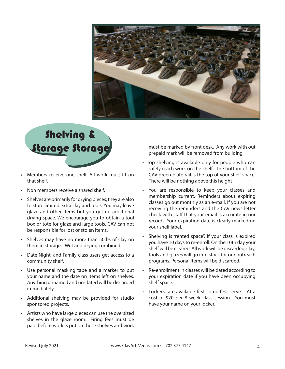

# Shelving & Storage Storage

- Members receive one shelf. All work must fit on that shelf.
- Non members receive a shared shelf.
- Shelves are primarily for drying pieces; they are also to store limited extra clay and tools. You may leave glaze and other items but you get no additional drying space. We encourage you to obtain a tool box or tote for glaze and large tools. CAV can not be responsible for lost or stolen items.
- Shelves may have no more than 50lbs of clay on them in storage. Wet and drying combined.
- Date Night, and Family class users get access to a community shelf.
- Use personal masking tape and a marker to put your name and the date on items left on shelves. Anything unnamed and un-dated will be discarded immediately.
- Additional shelving may be provided for studio sponsored projects.
- Artists who have large pieces can use the oversized shelves in the glaze room. Firing fees must be paid before work is put on these shelves and work

must be marked by front desk. Any work with out prepaid mark will be removed from building

- Top shelving is available only for people who can safely reach work on the shelf. The bottom of the CAV green plate rail is the top of your shelf space. There will be nothing above this height
- You are responsible to keep your classes and membership current. Reminders about expiring classes go out monthly as an e-mail. If you are not receiving the reminders and the CAV news letter check with staff that your email is accurate in our records. Your expiration date is clearly marked on your shelf label.
- Shelving is "rented space". If your class is expired you have 10 days to re-enroll. On the 10th day your shelf will be cleared. All work will be discarded, clay, tools and glazes will go into stock for our outreach programs. Personal items will be discarded.
- Re-enrollment in classes will be dated according to your expiration date if you have been occupying shelf space.
- Lockers are available first come first serve. At a cost of \$20 per 8 week class session. You must have your name on your locker.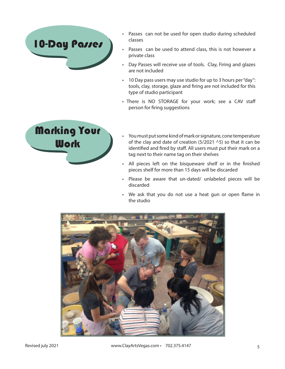

- Passes can not be used for open studio during scheduled classes
- Passes can be used to attend class, this is not however a private class
- Day Passes will receive use of tools. Clay, Firing and glazes are not included
- 10 Day pass users may use studio for up to 3 hours per "day": tools, clay, storage, glaze and firing are not included for this type of studio participant
- There is NO STORAGE for your work; see a CAV staff person for firing suggestions



- You must put some kind of mark or signature, cone temperature of the clay and date of creation (5/2021  $\land$ 5) so that it can be identified and fired by staff. All users must put their mark on a tag next to their name tag on their shelves
- All pieces left on the bisqueware shelf or in the finished pieces shelf for more than 15 days will be discarded
- Please be aware that un-dated/ unlabeled pieces will be discarded
- We ask that you do not use a heat gun or open flame in the studio

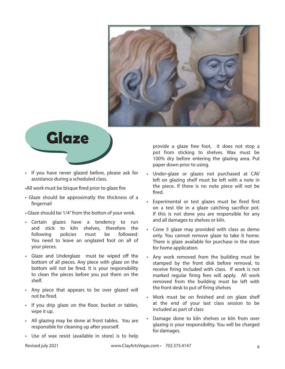



- If you have never glazed before, please ask for assistance during a scheduled class.
- •All work must be bisque fired prior to glaze fire
- Glaze should be approximatly the thickness of a fingernail
- Glaze should be 1/4" from the botton of your wrok.
- Certain glazes have a tendency to run and stick to kiln shelves, therefore the following policies must be followed: You need to leave an unglazed foot on all of your pieces.
- Glaze and Underglaze must be wiped off the bottom of all pieces. Any piece with glaze on the bottom will not be fired. It is your responsibility to clean the pieces before you put them on the shelf.
- Any piece that appears to be over glazed will not be fired.
- If you drip glaze on the floor, bucket or tables, wipe it up.
- All glazing may be done at front tables. You are responsible for cleaning up after yourself.
- Use of wax resist (available in store) is to help

provide a glaze free foot, it does not stop a pot from sticking to shelves. Wax must be 100% dry before entering the glazing area. Put paper down prior to using.

- Under-glaze or glazes not purchased at CAV left on glazing shelf must be left with a note in the piece. If there is no note piece will not be fired.
- Experimental or test glazes must be fired first on a test tile in a glaze catching sacrifice pot. If this is not done you are responsible for any and all damages to shelves or kiln.
- Cone 5 glaze may provided with class as demo only. You cannot remove glaze to take it home. There is glaze available for purchase in the store for home application.
- Any work removed from the building must be stamped by the front disk before removal, to receive firing included with class. If work is not marked regular firing fees will apply. All work removed from the building must be left with the front desk to put of firing shelves
- Work must be on finished and on glaze shelf at the end of your last class session to be included as part of class
- Damage done to kiln shelves or kiln from over glazing is your responsibility. You will be charged for damages.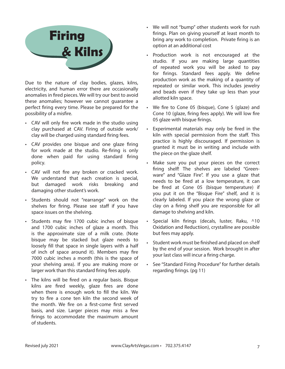

Due to the nature of clay bodies, glazes, kilns, electricity, and human error there are occasionally anomalies in fired pieces. We will try our best to avoid these anomalies; however we cannot guarantee a perfect firing every time. Please be prepared for the possibility of a misfire.

- CAV will only fire work made in the studio using clay purchased at CAV. Firing of outside work/ clay will be charged using standard firing fees.
- CAV provides one bisque and one glaze firing for work made at the studio. Re-firing is only done when paid for using standard firing policy.
- CAV will not fire any broken or cracked work. We understand that each creation is special, but damaged work risks breaking and damaging other student's work.
- Students should not "rearrange" work on the shelves for firing. Please see staff if you have space issues on the shelving.
- Students may fire 1700 cubic inches of bisque and 1700 cubic inches of glaze a month. This is the approximate size of a milk crate. (Note bisque may be stacked but glaze needs to loosely fill that space in single layers with a half of inch of space around it). Members may fire 7000 cubic inches a month (this is the space of your shelving area). If you are making more or larger work than this standard firing fees apply.
- The kilns will be fired on a regular basis. Bisque kilns are fired weekly, glaze fires are done when there is enough work to fill the kiln. We try to fire a cone ten kiln the second week of the month. We fire on a first-come first served basis, and size. Larger pieces may miss a few firings to accommodate the maximum amount of students.
- We will not "bump" other students work for rush firings. Plan on giving yourself at least month to bring any work to completion. Private firing is an option at an additional cost
- Production work is not encouraged at the studio. If you are making large quantities of repeated work you will be asked to pay for firings. Standard fees apply. We define production work as the making of a quantity of repeated or similar work. This includes jewelry and beads even if they take up less than your allotted kiln space.
- We fire to Cone 05 (bisque), Cone 5 (glaze) and Cone 10 (glaze, firing fees apply). We will low fire 05 glaze with bisque firings.
- Experimental materials may only be fired in the kiln with special permission from the staff. This practice is highly discouraged. If permission is granted it must be in writing and include with the piece on the glaze shelf.
- Make sure you put your pieces on the correct firing shelf! The shelves are labeled "Greenware" and "Glaze Fire". If you use a glaze that needs to be fired at a low temperature, it can be fired at Cone 05 (bisque temperature) if you put it on the "Bisque Fire" shelf, and it is clearly labeled. If you place the wrong glaze or clay on a firing shelf you are responsible for all damage to shelving and kiln.
- Special kiln firings (decals, luster, Raku, ^10 Oxidation and Reductiion), crystalline are possible but fees may apply.
- Student work must be finished and placed on shelf by the end of your session. Work brought in after your last class will incur a firing charge.
- See "Standard Firing Procedure" for further details regarding firings. (pg 11)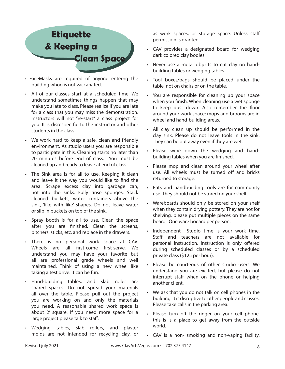

- FaceMasks are required of anyone enterng the building whoo is not vaccanated.
- All of our classes start at a scheduled time. We understand sometimes things happen that may make you late to class. Please realize if you are late for a class that you may miss the demonstration. Instructors will not "re-start" a class project for you. It is disrespectful to the instructor and other students in the class.
- We work hard to keep a safe, clean and friendly environment. As studio users you are responsible to participate in this. Cleaning starts no later than 20 minutes before end of class. You must be cleaned up and ready to leave at end of class.
- The Sink area is for all to use. Keeping it clean and leave it the way you would like to find the area. Scrape excess clay into garbage can, not into the sinks. Fully rinse sponges. Stack cleaned buckets, water containers above the sink, 'like with like' shapes. Do not leave water or slip in buckets on top of the sink.
- Spray booth is for all to use. Clean the space after you are finished. Clean the screens, pitchers, sticks, etc. and replace in the drawers.
- There is no personal work space at CAV. Wheels are all first-come first-serve. We understand you may have your favorite but all are professional grade wheels and well maintained. Think of using a new wheel like taking a test drive. It can be fun.
- Hand-building tables, and slab roller are shared spaces. Do not spread your materials all over the table. Please pull out the project you are working on and only the materials you need. A reasonable shared work space is about 2' square. If you need more space for a large project please talk to staff.
- Wedging tables, slab rollers, and plaster molds are not intended for recycling clay, or

as work spaces, or storage space. Unless staff permission is granted.

- CAV provides a designated board for wedging dark colored clay bodies.
- Never use a metal objects to cut clay on handbuilding tables or wedging tables.
- Tool boxes/bags should be placed under the table, not on chairs or on the table.
- You are responsible for cleaning up your space when you finish. When cleaning use a wet sponge to keep dust down. Also remember the floor around your work space; mops and brooms are in wheel and hand-building areas.
- All clay clean up should be performed in the clay sink. Please do not leave tools in the sink. They can be put away even if they are wet.
- Please wipe down the wedging and handbuilding tables when you are finished.
- Please mop and clean around your wheel after use. All wheels must be turned off and bricks returned to storage.
- Bats and handbuilding tools are for community use. They should not be stored on your shelf.
- Wareboards should only be stored on your shelf when they contain drying pottery. They are not for shelving. please put multiple pieces on the same board. One ware boeard per person.
- Independent Studio time is your work time. Staff and teachers are not available for personal instruction. Instruction is only offered during scheduled classes or by a scheduled private class (\$125 per hour).
- Please be courteous of other studio users. We understand you are excited, but please do not interrupt staff when on the phone or helping another client.
- We ask that you do not talk on cell phones in the building. It is disruptive to other people and classes. Please take calls in the parking area.
- Please turn off the ringer on your cell phone, this is is a place to get away from the outside world.
- CAV is a non- smoking and non-vaping facility.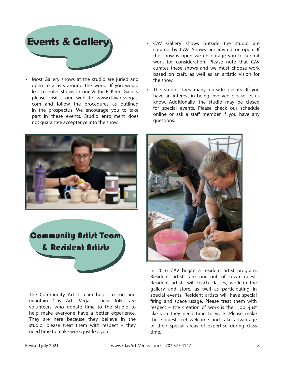

- Most Gallery shows at the studio are juried and open to artists around the world. If you would like to enter shows in our Victor F. Keen Gallery please visit our website www.clayartsvegas. com and follow the procedures as outlined in the prospectus. We encourage you to take part in these events. Studio enrollment does not guarantee acceptance into the show.
- CAV Gallery shows outside the studio are curated by CAV. Shows are invited or open. If the show is open we encourage you to submit work for consideration. Please note that CAV curates these shows and we must choose work based on craft, as well as an artistic vision for the show.
- The studio does many outside events. If you have an interest in being involved please let us know. Additionally, the studio may be closed for special events. Please check our schedule online or ask a staff member if you have any questions.



**Community Artist Team** & Resident Artists

The Community Artist Team helps to run and maintain Clay Arts Vegas.. These folks are volunteers who donate time to the studio to help make everyone have a better experience. They are here because they believe in the studio; please treat them with respect – they need time to make work, just like you.



In 2016 CAV began a resident artist program. Resident artists are our out of town guest. Resident artists will teach classes, work in the gallery and store, as well as participating in special events. Resident artists will have special firing and space usage. Please treat them with respect – the creation of work is their job -just like you they need time to work. Please make these guest feel welcome and take advantage of their special areas of expertise during class time.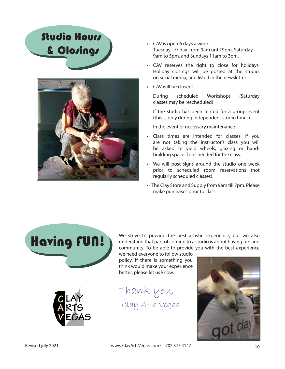## Studio Hours & Closings



- CAV is open 6 days a week. Tuesday - Friday from 9am until 9pm, Saturday 9am to 5pm, and Sundays 11am to 3pm.
- CAV reserves the right to close for holidays. Holiday closings will be posted at the studio, on social media, and listed in the newsletter
- CAV will be closed:

During scheduled Workshops (Saturday classes may be rescheduled)

If the studio has been rented for a group event (this is only during independent studio times)

In the event of necessary maintenance

- Class times are intended for classes. If you are not taking the instructor's class you will be asked to yield wheels, glazing or handbuilding space if it is needed for the class.
- We will post signs around the studio one week prior to scheduled room reservations (not regularly scheduled classes).
- The Clay Store and Supply from 9am till 7pm. Please make purchases prior to class.



We strive to provide the best artistic experience, but we also understand that part of coming to a studio is about having fun and community. To be able to provide you with the best experience

we need everyone to follow studio policy. If there is something you think would make your experience better, please let us know.

Thank you, Clay Arts Vegas



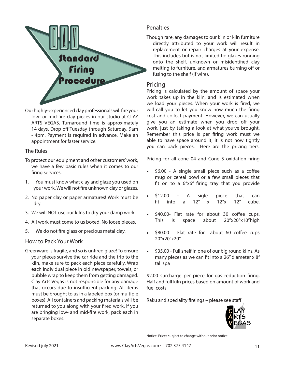

Our highly-experienced clay professionals will fire your low- or mid-fire clay pieces in our studio at CLAY ARTS VEGAS. Turnaround time is approximately 14 days. Drop off Tuesday through Saturday, 9am - 4pm. Payment is required in advance. Make an appointment for faster service.

#### The Rules

- To protect our equipment and other customers' work, we have a few basic rules when it comes to our firing services.
- 1. You must know what clay and glaze you used on your work. We will not fire unknown clay or glazes.
- 2. No paper clay or paper armatures! Work must be dry.
- 3. We will NOT use our kilns to dry your damp work.
- 4. All work must come to us boxed. No loose pieces.
- 5. We do not fire glass or precious metal clay.

#### How to Pack Your Work

Greenware is fragile, and so is unfired glaze! To ensure your pieces survive the car ride and the trip to the kiln, make sure to pack each piece carefully. Wrap each individual piece in old newspaper, towels, or bubble wrap to keep them from getting damaged. Clay Arts Vegas is not responsible for any damage that occurs due to insufficient packing. All items must be brought to us in a labeled box (or multiple boxes). All containers and packing materials will be returned to you along with your fired work. If you are bringing low- and mid-fire work, pack each in separate boxes.

### **Penalties**

Though rare, any damages to our kiln or kiln furniture directly attributed to your work will result in replacement or repair charges at your expense. This includes but is not limited to: glazes running onto the shelf, unknown or misidentified clay melting to furniture, and armatures burning off or fusing to the shelf (if wire).

### Pricing

Pricing is calculated by the amount of space your work takes up in the kiln, and is estimated when we load your pieces. When your work is fired, we will call you to let you know how much the firing cost and collect payment. However, we can usually give you an estimate when you drop off your work, just by taking a look at what you've brought. Remember this price is per firing work must we able to have space around it, it is not how tightly you can pack pieces. Here are the pricing tiers:

Pricing for all cone 04 and Cone 5 oxidation firing

- \$6.00 A single small piece such as a coffee mug or cereal bowl or a few small pieces that fit on to a 6"x6" firing tray that you provide
- \$12.00 A sigle piece that can fit into a 12" x 12"x 12" cube.
- \$40.00- Flat rate for about 30 coffee cups. This is space about 20"x20"x10"high
- \$80.00 Flat rate for about 60 coffee cups 20"x20"x20"
- \$35.00 Full shelf in one of our big round kilns. As many pieces as we can fit into a 26" diameter x 8" tall spa

\$2.00 surcharge per piece for gas reduction firing, Half and full kiln prices based on amount of work and fuel costs

Raku and speciality fireings – please see staff



Notice: Prices subject to change without prior notice.